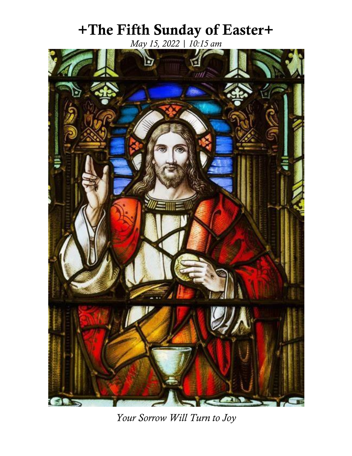# **+The Fifth Sunday of Easter+**

*May 15, 2022 | 10:15 am* 



*Your Sorrow Will Turn to Joy*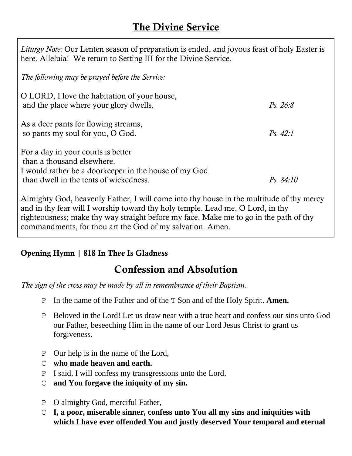# **The Divine Service**

| Liturgy Note: Our Lenten season of preparation is ended, and joyous feast of holy Easter is<br>here. Alleluia! We return to Setting III for the Divine Service.     |           |
|---------------------------------------------------------------------------------------------------------------------------------------------------------------------|-----------|
| The following may be prayed before the Service:                                                                                                                     |           |
| O LORD, I love the habitation of your house,<br>and the place where your glory dwells.                                                                              | Ps. 26:8  |
| As a deer pants for flowing streams,<br>so pants my soul for you, O God.                                                                                            | Ps. 42:1  |
| For a day in your courts is better<br>than a thousand elsewhere.<br>I would rather be a doorkeeper in the house of my God<br>than dwell in the tents of wickedness. | Ps. 84:10 |
| $\Lambda$ leaded to $C_{\Omega}$ decorrectly $\Gamma$ at least $\Gamma$ will come eight that he was in the multitude of thy measure                                 |           |

Almighty God, heavenly Father, I will come into thy house in the multitude of thy mercy and in thy fear will I worship toward thy holy temple. Lead me, O Lord, in thy righteousness; make thy way straight before my face. Make me to go in the path of thy commandments, for thou art the God of my salvation. Amen.

### **Opening Hymn | 818 In Thee Is Gladness**

# **Confession and Absolution**

*The sign of the cross may be made by all in remembrance of their Baptism.*

- P In the name of the Father and of the T Son and of the Holy Spirit. **Amen.**
- P Beloved in the Lord! Let us draw near with a true heart and confess our sins unto God our Father, beseeching Him in the name of our Lord Jesus Christ to grant us forgiveness.
- P Our help is in the name of the Lord,
- C **who made heaven and earth.**
- P I said, I will confess my transgressions unto the Lord,
- C **and You forgave the iniquity of my sin.**
- P O almighty God, merciful Father,
- C **I, a poor, miserable sinner, confess unto You all my sins and iniquities with which I have ever offended You and justly deserved Your temporal and eternal**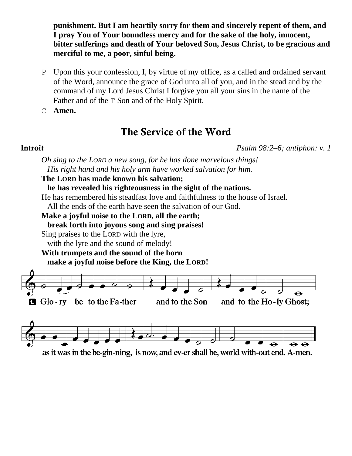**punishment. But I am heartily sorry for them and sincerely repent of them, and I pray You of Your boundless mercy and for the sake of the holy, innocent, bitter sufferings and death of Your beloved Son, Jesus Christ, to be gracious and merciful to me, a poor, sinful being.**

P Upon this your confession, I, by virtue of my office, as a called and ordained servant of the Word, announce the grace of God unto all of you, and in the stead and by the command of my Lord Jesus Christ I forgive you all your sins in the name of the Father and of the T Son and of the Holy Spirit.

C **Amen.**

## **The Service of the Word**

**Introit** *Psalm 98:2–6; antiphon: v. 1*

#### *Oh sing to the LORD a new song, for he has done marvelous things! His right hand and his holy arm have worked salvation for him.*

#### **The LORD has made known his salvation;**

**he has revealed his righteousness in the sight of the nations.**

He has remembered his steadfast love and faithfulness to the house of Israel.

All the ends of the earth have seen the salvation of our God.

#### **Make a joyful noise to the LORD, all the earth;**

**break forth into joyous song and sing praises!**

Sing praises to the LORD with the lyre,

with the lyre and the sound of melody!

#### **With trumpets and the sound of the horn make a joyful noise before the King, the LORD!**



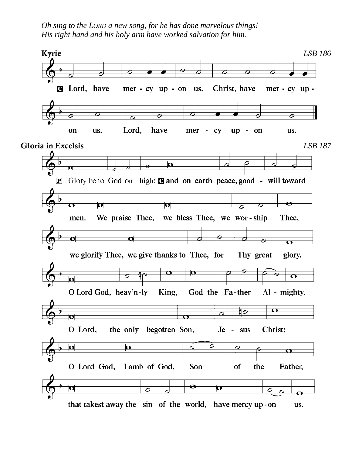*Oh sing to the LORD a new song, for he has done marvelous things! His right hand and his holy arm have worked salvation for him.*

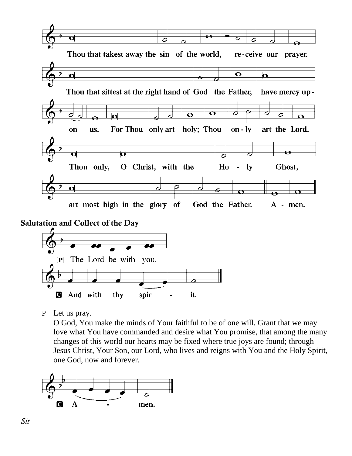



P Let us pray.

O God, You make the minds of Your faithful to be of one will. Grant that we may love what You have commanded and desire what You promise, that among the many changes of this world our hearts may be fixed where true joys are found; through Jesus Christ, Your Son, our Lord, who lives and reigns with You and the Holy Spirit, one God, now and forever.

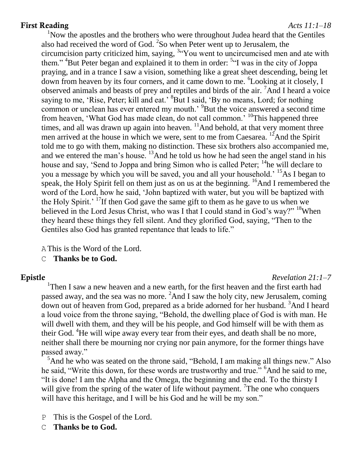#### **First Reading** *Acts 11:1–18*

<sup>1</sup>Now the apostles and the brothers who were throughout Judea heard that the Gentiles also had received the word of God.  ${}^{2}$ So when Peter went up to Jerusalem, the circumcision party criticized him, saying, <sup>3</sup> You went to uncircumcised men and ate with them." <sup>4</sup>But Peter began and explained it to them in order: <sup>5</sup> I was in the city of Joppa praying, and in a trance I saw a vision, something like a great sheet descending, being let down from heaven by its four corners, and it came down to me. <sup>6</sup> Looking at it closely, I observed animals and beasts of prey and reptiles and birds of the air. <sup>7</sup>And I heard a voice saying to me, 'Rise, Peter; kill and eat.' <sup>8</sup>But I said, 'By no means, Lord; for nothing common or unclean has ever entered my mouth.<sup>9</sup>But the voice answered a second time from heaven, 'What God has made clean, do not call common.' <sup>10</sup>This happened three times, and all was drawn up again into heaven.  $\frac{11}{4}$ And behold, at that very moment three men arrived at the house in which we were, sent to me from Caesarea. <sup>12</sup>And the Spirit told me to go with them, making no distinction. These six brothers also accompanied me, and we entered the man's house. <sup>13</sup>And he told us how he had seen the angel stand in his house and say, 'Send to Joppa and bring Simon who is called Peter; <sup>14</sup>he will declare to you a message by which you will be saved, you and all your household.' <sup>15</sup>As I began to speak, the Holy Spirit fell on them just as on us at the beginning.  $\frac{16}{6}$ And I remembered the word of the Lord, how he said, 'John baptized with water, but you will be baptized with the Holy Spirit.' <sup>17</sup>If then God gave the same gift to them as he gave to us when we believed in the Lord Jesus Christ, who was I that I could stand in God's way?" <sup>18</sup>When they heard these things they fell silent. And they glorified God, saying, "Then to the Gentiles also God has granted repentance that leads to life."

AThis is the Word of the Lord.

C **Thanks be to God.**

#### **Epistle** *Revelation 21:1–7*

<sup>1</sup>Then I saw a new heaven and a new earth, for the first heaven and the first earth had passed away, and the sea was no more.  ${}^{2}$ And I saw the holy city, new Jerusalem, coming down out of heaven from God, prepared as a bride adorned for her husband. <sup>3</sup>And I heard a loud voice from the throne saying, "Behold, the dwelling place of God is with man. He will dwell with them, and they will be his people, and God himself will be with them as their God. <sup>4</sup>He will wipe away every tear from their eyes, and death shall be no more, neither shall there be mourning nor crying nor pain anymore, for the former things have passed away."

 $<sup>5</sup>$ And he who was seated on the throne said, "Behold, I am making all things new." Also</sup> he said, "Write this down, for these words are trustworthy and true." <sup>6</sup>And he said to me, "It is done! I am the Alpha and the Omega, the beginning and the end. To the thirsty I will give from the spring of the water of life without payment. <sup>7</sup>The one who conquers will have this heritage, and I will be his God and he will be my son."

- P This is the Gospel of the Lord.
- C **Thanks be to God.**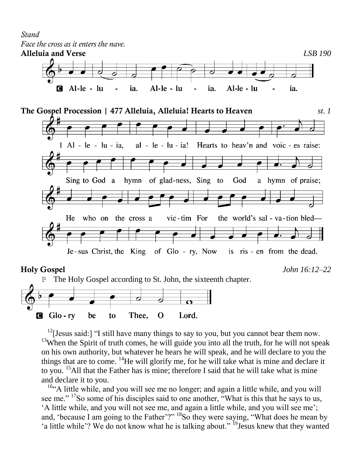# *Stand Face the cross as it enters the nave.*



<sup>12</sup>[Jesus said:] "I still have many things to say to you, but you cannot bear them now. <sup>13</sup>When the Spirit of truth comes, he will guide you into all the truth, for he will not speak on his own authority, but whatever he hears he will speak, and he will declare to you the things that are to come. <sup>14</sup>He will glorify me, for he will take what is mine and declare it to you. <sup>15</sup>All that the Father has is mine; therefore I said that he will take what is mine and declare it to you.

 $164$ . A little while, and you will see me no longer; and again a little while, and you will see me." <sup>17</sup>So some of his disciples said to one another, "What is this that he says to us, 'A little while, and you will not see me, and again a little while, and you will see me'; and, 'because I am going to the Father'?" <sup>18</sup>So they were saying, "What does he mean by 'a little while'? We do not know what he is talking about." <sup>19</sup>Jesus knew that they wanted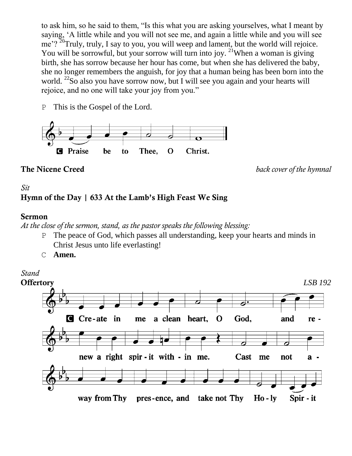to ask him, so he said to them, "Is this what you are asking yourselves, what I meant by saying, 'A little while and you will not see me, and again a little while and you will see me'?  ${}^{20}$ Truly, truly, I say to you, you will weep and lament, but the world will rejoice. You will be sorrowful, but your sorrow will turn into joy. <sup>21</sup>When a woman is giving birth, she has sorrow because her hour has come, but when she has delivered the baby, she no longer remembers the anguish, for joy that a human being has been born into the world. <sup>22</sup>So also you have sorrow now, but I will see you again and your hearts will rejoice, and no one will take your joy from you."

P This is the Gospel of the Lord.



**The Nicene Creed** *back cover of the hymnal*

### *Sit* **Hymn of the Day | 633 At the Lamb's High Feast We Sing**

#### **Sermon**

*At the close of the sermon, stand, as the pastor speaks the following blessing:*

- P The peace of God, which passes all understanding, keep your hearts and minds in Christ Jesus unto life everlasting!
- C **Amen.**

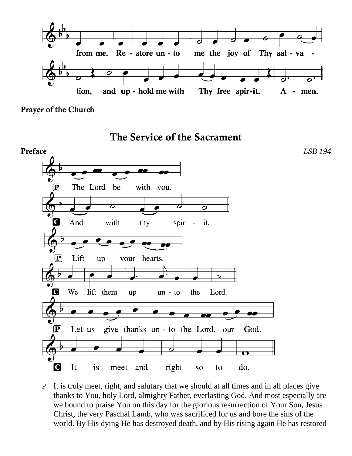

**Prayer of the Church**

**The Service of the Sacrament**



P It is truly meet, right, and salutary that we should at all times and in all places give thanks to You, holy Lord, almighty Father, everlasting God. And most especially are we bound to praise You on this day for the glorious resurrection of Your Son, Jesus Christ, the very Paschal Lamb, who was sacrificed for us and bore the sins of the world. By His dying He has destroyed death, and by His rising again He has restored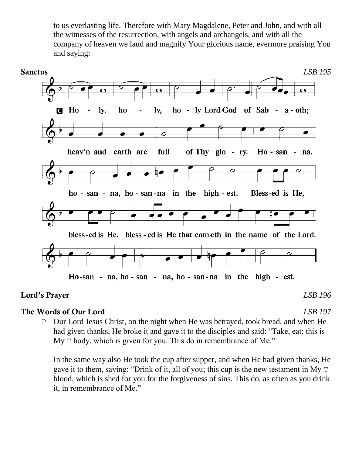to us everlasting life. Therefore with Mary Magdalene, Peter and John, and with all the witnesses of the resurrection, with angels and archangels, and with all the company of heaven we laud and magnify Your glorious name, evermore praising You and saying:



#### **Lord's Prayer** *LSB 196*

### **The Words of Our Lord** *LSB 197*

P Our Lord Jesus Christ, on the night when He was betrayed, took bread, and when He had given thanks, He broke it and gave it to the disciples and said: "Take, eat; this is My  $T$  body, which is given for you. This do in remembrance of Me."

In the same way also He took the cup after supper, and when He had given thanks, He gave it to them, saying: "Drink of it, all of you; this cup is the new testament in My T blood, which is shed for you for the forgiveness of sins. This do, as often as you drink it, in remembrance of Me."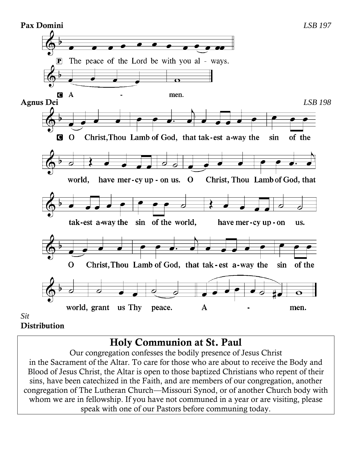

#### **Distribution**

# **Holy Communion at St. Paul**

Our congregation confesses the bodily presence of Jesus Christ in the Sacrament of the Altar. To care for those who are about to receive the Body and Blood of Jesus Christ, the Altar is open to those baptized Christians who repent of their sins, have been catechized in the Faith, and are members of our congregation, another congregation of The Lutheran Church—Missouri Synod, or of another Church body with whom we are in fellowship. If you have not communed in a year or are visiting, please speak with one of our Pastors before communing today.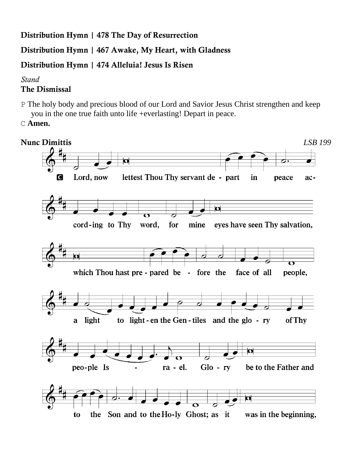**Distribution Hymn | 478 The Day of Resurrection**

**Distribution Hymn | 467 Awake, My Heart, with Gladness**

**Distribution Hymn | 474 Alleluia! Jesus Is Risen**

*Stand*

#### **The Dismissal**

- P The holy body and precious blood of our Lord and Savior Jesus Christ strengthen and keep you in the one true faith unto life +everlasting! Depart in peace.
- C **Amen.**

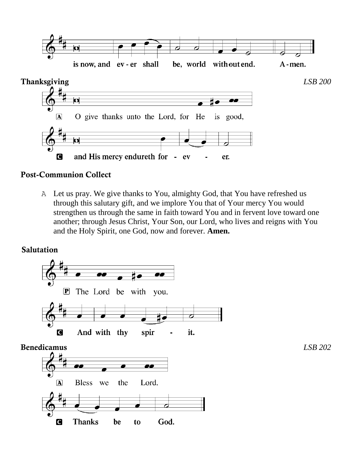

#### **Post-Communion Collect**

A Let us pray. We give thanks to You, almighty God, that You have refreshed us through this salutary gift, and we implore You that of Your mercy You would strengthen us through the same in faith toward You and in fervent love toward one another; through Jesus Christ, Your Son, our Lord, who lives and reigns with You and the Holy Spirit, one God, now and forever. **Amen.**

#### **Salutation**

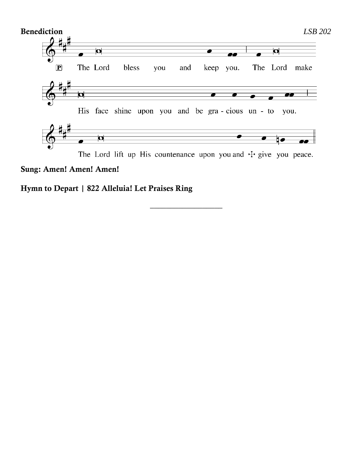

*\_\_\_\_\_\_\_\_\_\_\_\_\_\_\_\_\_\_*

#### **Sung: Amen! Amen! Amen!**

**Hymn to Depart | 822 Alleluia! Let Praises Ring**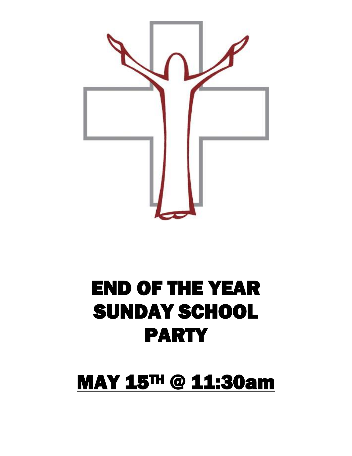

# END OF THE YEAR SUNDAY SCHOOL PARTY

# MAY 15TH @ 11:30am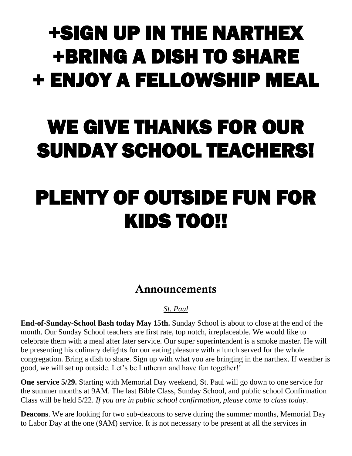# +SIGN UP IN THE NARTHEX +BRING A DISH TO SHARE + ENJOY A FELLOWSHIP MEAL

# WE GIVE THANKS FOR OUR SUNDAY SCHOOL TEACHERS!

# PLENTY OF OUTSIDE FUN FOR KIDS TOO!!

# **Announcements**

#### *St. Paul*

**End-of-Sunday-School Bash today May 15th.** Sunday School is about to close at the end of the month. Our Sunday School teachers are first rate, top notch, irreplaceable. We would like to celebrate them with a meal after later service. Our super superintendent is a smoke master. He will be presenting his culinary delights for our eating pleasure with a lunch served for the whole congregation. Bring a dish to share. Sign up with what you are bringing in the narthex. If weather is good, we will set up outside. Let's be Lutheran and have fun together!!

**One service 5/29.** Starting with Memorial Day weekend, St. Paul will go down to one service for the summer months at 9AM. The last Bible Class, Sunday School, and public school Confirmation Class will be held 5/22. *If you are in public school confirmation, please come to class today*.

**Deacons**. We are looking for two sub-deacons to serve during the summer months, Memorial Day to Labor Day at the one (9AM) service. It is not necessary to be present at all the services in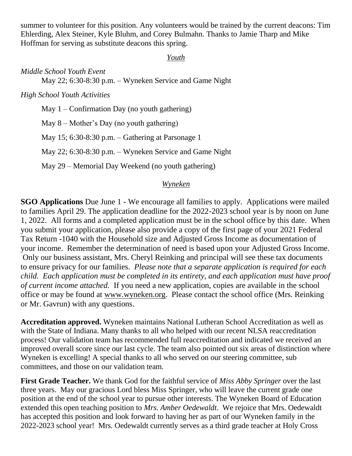summer to volunteer for this position. Any volunteers would be trained by the current deacons: Tim Ehlerding, Alex Steiner, Kyle Bluhm, and Corey Bulmahn. Thanks to Jamie Tharp and Mike Hoffman for serving as substitute deacons this spring.

#### *Youth*

*Middle School Youth Event*  May 22; 6:30-8:30 p.m. – Wyneken Service and Game Night

*High School Youth Activities*

May  $1 -$ Confirmation Day (no youth gathering) May 8 – Mother's Day (no youth gathering) May 15; 6:30-8:30 p.m. – Gathering at Parsonage 1 May 22; 6:30-8:30 p.m. – Wyneken Service and Game Night May 29 – Memorial Day Weekend (no youth gathering)

#### *Wyneken*

**SGO Applications** Due June 1 - We encourage all families to apply. Applications were mailed to families April 29. The application deadline for the 2022-2023 school year is by noon on June 1, 2022. All forms and a completed application must be in the school office by this date. When you submit your application, please also provide a copy of the first page of your 2021 Federal Tax Return -1040 with the Household size and Adjusted Gross Income as documentation of your income. Remember the determination of need is based upon your Adjusted Gross Income. Only our business assistant, Mrs. Cheryl Reinking and principal will see these tax documents to ensure privacy for our families. *Please note that a separate application is required for each child. Each application must be completed in its entirety, and each application must have proof of current income attached.* If you need a new application, copies are available in the school office or may be found at [www.wyneken.org.](http://www.wyneken.org/) Please contact the school office (Mrs. Reinking or Mr. Gavrun) with any questions.

**Accreditation approved.** Wyneken maintains National Lutheran School Accreditation as well as with the State of Indiana. Many thanks to all who helped with our recent NLSA reaccreditation process! Our validation team has recommended full reaccreditation and indicated we received an improved overall score since our last cycle. The team also pointed out six areas of distinction where Wyneken is excelling! A special thanks to all who served on our steering committee, sub committees, and those on our validation team.

**First Grade Teacher.** We thank God for the faithful service of *Miss Abby Springer* over the last three years. May our gracious Lord bless Miss Springer, who will leave the current grade one position at the end of the school year to pursue other interests. The Wyneken Board of Education extended this open teaching position to *Mrs. Amber Oedewaldt*. We rejoice that Mrs. Oedewaldt has accepted this position and look forward to having her as part of our Wyneken family in the 2022-2023 school year! Mrs. Oedewaldt currently serves as a third grade teacher at Holy Cross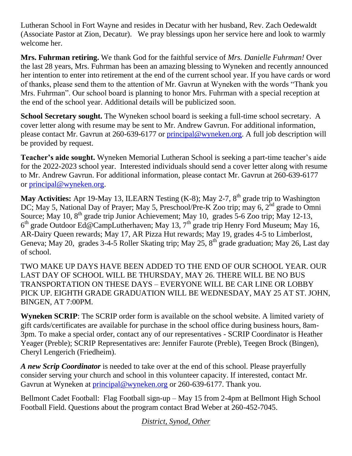Lutheran School in Fort Wayne and resides in Decatur with her husband, Rev. Zach Oedewaldt (Associate Pastor at Zion, Decatur). We pray blessings upon her service here and look to warmly welcome her.

**Mrs. Fuhrman retiring.** We thank God for the faithful service of *Mrs. Danielle Fuhrman!* Over the last 28 years, Mrs. Fuhrman has been an amazing blessing to Wyneken and recently announced her intention to enter into retirement at the end of the current school year. If you have cards or word of thanks, please send them to the attention of Mr. Gavrun at Wyneken with the words "Thank you Mrs. Fuhrman". Our school board is planning to honor Mrs. Fuhrman with a special reception at the end of the school year. Additional details will be publicized soon.

**School Secretary sought.** The Wyneken school board is seeking a full-time school secretary. A cover letter along with resume may be sent to Mr. Andrew Gavrun. For additional information, please contact Mr. Gavrun at 260-639-6177 or [principal@wyneken.org.](mailto:principal@wyneken.org) A full job description will be provided by request.

**Teacher's aide sought.** Wyneken Memorial Lutheran School is seeking a part-time teacher's aide for the 2022-2023 school year. Interested individuals should send a cover letter along with resume to Mr. Andrew Gavrun. For additional information, please contact Mr. Gavrun at 260-639-6177 or [principal@wyneken.org.](mailto:principal@wyneken.org)

**May Activities:** Apr 19-May 13, ILEARN Testing (K-8); May 2-7, 8<sup>th</sup> grade trip to Washington DC; May 5, National Day of Prayer; May 5, Preschool/Pre-K Zoo trip; may 6, 2<sup>nd</sup> grade to Omni Source; May 10,  $8<sup>th</sup>$  grade trip Junior Achievement; May 10, grades 5-6 Zoo trip; May 12-13,  $6<sup>th</sup>$  grade Outdoor Ed@CampLutherhaven; May 13, 7<sup>th</sup> grade trip Henry Ford Museum; May 16, AR-Dairy Queen rewards; May 17, AR Pizza Hut rewards; May 19, grades 4-5 to Limberlost, Geneva; May 20, grades 3-4-5 Roller Skating trip; May 25, 8<sup>th</sup> grade graduation; May 26, Last day of school.

TWO MAKE UP DAYS HAVE BEEN ADDED TO THE END OF OUR SCHOOL YEAR. OUR LAST DAY OF SCHOOL WILL BE THURSDAY, MAY 26. THERE WILL BE NO BUS TRANSPORTATION ON THESE DAYS – EVERYONE WILL BE CAR LINE OR LOBBY PICK UP. EIGHTH GRADE GRADUATION WILL BE WEDNESDAY, MAY 25 AT ST. JOHN, BINGEN, AT 7:00PM.

**Wyneken SCRIP**: The SCRIP order form is available on the school website. A limited variety of gift cards/certificates are available for purchase in the school office during business hours, 8am-3pm. To make a special order, contact any of our representatives - SCRIP Coordinator is Heather Yeager (Preble); SCRIP Representatives are: Jennifer Faurote (Preble), Teegen Brock (Bingen), Cheryl Lengerich (Friedheim).

*A new Scrip Coordinator* is needed to take over at the end of this school. Please prayerfully consider serving your church and school in this volunteer capacity. If interested, contact Mr. Gavrun at Wyneken at [principal@wyneken.org](mailto:principal@wyneken.org) or 260-639-6177. Thank you.

Bellmont Cadet Football: Flag Football sign-up – May 15 from 2-4pm at Bellmont High School Football Field. Questions about the program contact Brad Weber at 260-452-7045.

*District, Synod, Other*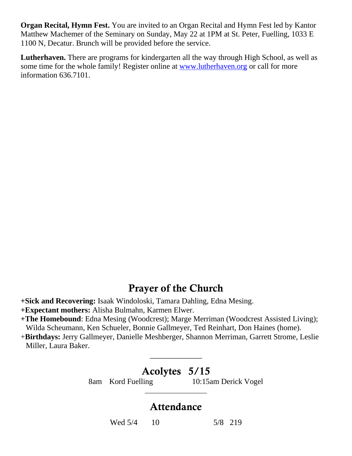**Organ Recital, Hymn Fest.** You are invited to an Organ Recital and Hymn Fest led by Kantor Matthew Machemer of the Seminary on Sunday, May 22 at 1PM at St. Peter, Fuelling, 1033 E 1100 N, Decatur. Brunch will be provided before the service.

**Lutherhaven.** There are programs for kindergarten all the way through High School, as well as some time for the whole family! Register online at [www.lutherhaven.org](http://www.lutherhaven.org/) or call for more information 636.7101.

## **Prayer of the Church**

- **+Sick and Recovering:** Isaak Windoloski, Tamara Dahling, Edna Mesing.
- **+Expectant mothers:** Alisha Bulmahn, Karmen Elwer.
- **+The Homebound**: Edna Mesing (Woodcrest); Marge Merriman (Woodcrest Assisted Living); Wilda Scheumann, Ken Schueler, Bonnie Gallmeyer, Ted Reinhart, Don Haines (home).

+**Birthdays:** Jerry Gallmeyer, Danielle Meshberger, Shannon Merriman, Garrett Strome, Leslie Miller, Laura Baker.

# **Acolytes 5/15**

\_\_\_\_\_\_\_\_\_\_\_\_\_

8am Kord Fuelling 10:15am Derick Vogel

# **Attendance**

**\_\_\_\_\_\_\_\_\_\_\_\_\_\_\_\_\_\_**

Wed  $5/4$  10 5/8 219